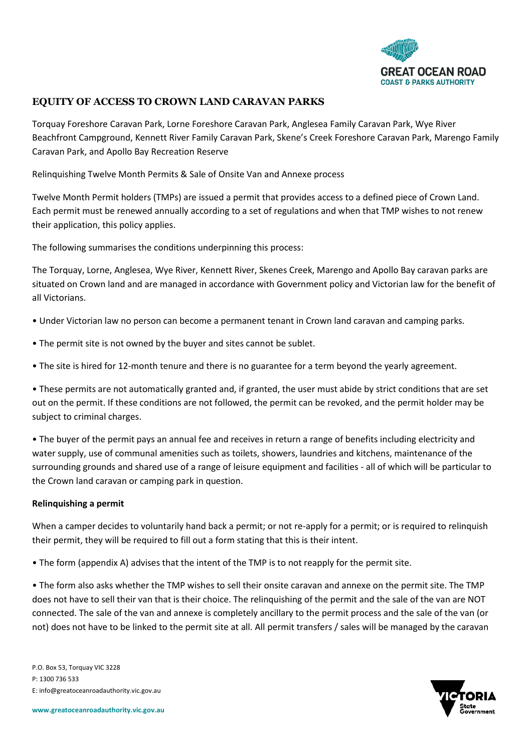

# **EQUITY OF ACCESS TO CROWN LAND CARAVAN PARKS**

Torquay Foreshore Caravan Park, Lorne Foreshore Caravan Park, Anglesea Family Caravan Park, Wye River Beachfront Campground, Kennett River Family Caravan Park, Skene's Creek Foreshore Caravan Park, Marengo Family Caravan Park, and Apollo Bay Recreation Reserve

Relinquishing Twelve Month Permits & Sale of Onsite Van and Annexe process

Twelve Month Permit holders (TMPs) are issued a permit that provides access to a defined piece of Crown Land. Each permit must be renewed annually according to a set of regulations and when that TMP wishes to not renew their application, this policy applies.

The following summarises the conditions underpinning this process:

The Torquay, Lorne, Anglesea, Wye River, Kennett River, Skenes Creek, Marengo and Apollo Bay caravan parks are situated on Crown land and are managed in accordance with Government policy and Victorian law for the benefit of all Victorians.

- Under Victorian law no person can become a permanent tenant in Crown land caravan and camping parks.
- The permit site is not owned by the buyer and sites cannot be sublet.
- The site is hired for 12-month tenure and there is no guarantee for a term beyond the yearly agreement.

• These permits are not automatically granted and, if granted, the user must abide by strict conditions that are set out on the permit. If these conditions are not followed, the permit can be revoked, and the permit holder may be subject to criminal charges.

• The buyer of the permit pays an annual fee and receives in return a range of benefits including electricity and water supply, use of communal amenities such as toilets, showers, laundries and kitchens, maintenance of the surrounding grounds and shared use of a range of leisure equipment and facilities - all of which will be particular to the Crown land caravan or camping park in question.

#### **Relinquishing a permit**

When a camper decides to voluntarily hand back a permit; or not re-apply for a permit; or is required to relinquish their permit, they will be required to fill out a form stating that this is their intent.

• The form (appendix A) advises that the intent of the TMP is to not reapply for the permit site.

• The form also asks whether the TMP wishes to sell their onsite caravan and annexe on the permit site. The TMP does not have to sell their van that is their choice. The relinquishing of the permit and the sale of the van are NOT connected. The sale of the van and annexe is completely ancillary to the permit process and the sale of the van (or not) does not have to be linked to the permit site at all. All permit transfers / sales will be managed by the caravan

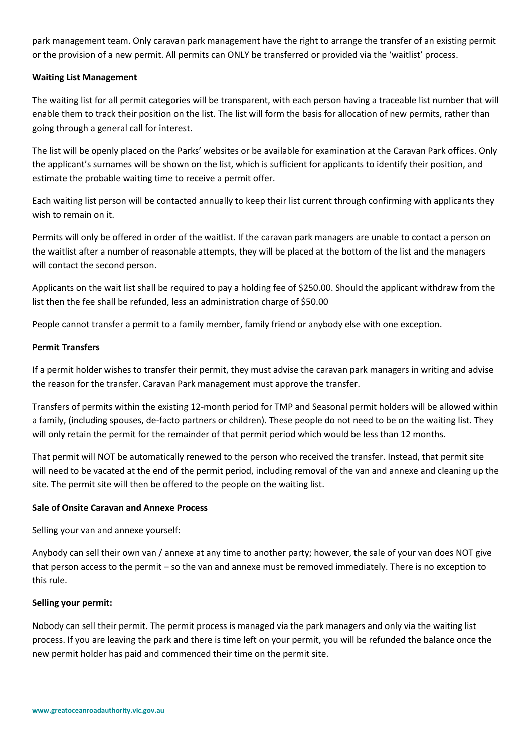park management team. Only caravan park management have the right to arrange the transfer of an existing permit or the provision of a new permit. All permits can ONLY be transferred or provided via the 'waitlist' process.

## **Waiting List Management**

The waiting list for all permit categories will be transparent, with each person having a traceable list number that will enable them to track their position on the list. The list will form the basis for allocation of new permits, rather than going through a general call for interest.

The list will be openly placed on the Parks' websites or be available for examination at the Caravan Park offices. Only the applicant's surnames will be shown on the list, which is sufficient for applicants to identify their position, and estimate the probable waiting time to receive a permit offer.

Each waiting list person will be contacted annually to keep their list current through confirming with applicants they wish to remain on it.

Permits will only be offered in order of the waitlist. If the caravan park managers are unable to contact a person on the waitlist after a number of reasonable attempts, they will be placed at the bottom of the list and the managers will contact the second person.

Applicants on the wait list shall be required to pay a holding fee of \$250.00. Should the applicant withdraw from the list then the fee shall be refunded, less an administration charge of \$50.00

People cannot transfer a permit to a family member, family friend or anybody else with one exception.

## **Permit Transfers**

If a permit holder wishes to transfer their permit, they must advise the caravan park managers in writing and advise the reason for the transfer. Caravan Park management must approve the transfer.

Transfers of permits within the existing 12-month period for TMP and Seasonal permit holders will be allowed within a family, (including spouses, de-facto partners or children). These people do not need to be on the waiting list. They will only retain the permit for the remainder of that permit period which would be less than 12 months.

That permit will NOT be automatically renewed to the person who received the transfer. Instead, that permit site will need to be vacated at the end of the permit period, including removal of the van and annexe and cleaning up the site. The permit site will then be offered to the people on the waiting list.

#### **Sale of Onsite Caravan and Annexe Process**

Selling your van and annexe yourself:

Anybody can sell their own van / annexe at any time to another party; however, the sale of your van does NOT give that person access to the permit – so the van and annexe must be removed immediately. There is no exception to this rule.

#### **Selling your permit:**

Nobody can sell their permit. The permit process is managed via the park managers and only via the waiting list process. If you are leaving the park and there is time left on your permit, you will be refunded the balance once the new permit holder has paid and commenced their time on the permit site.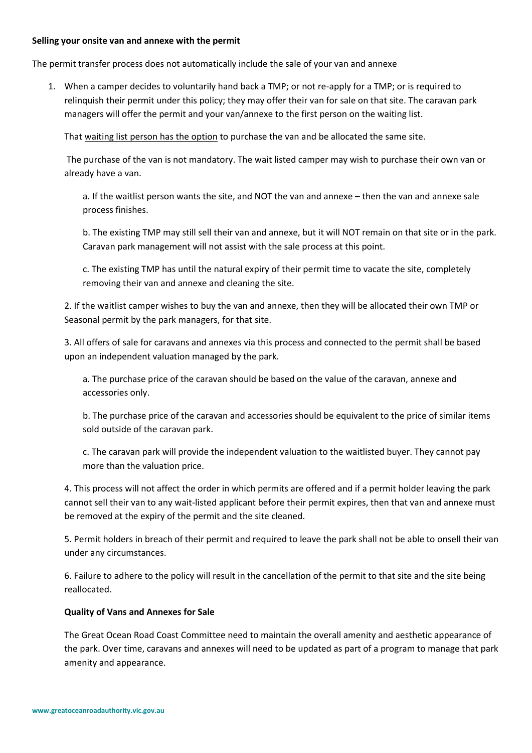#### **Selling your onsite van and annexe with the permit**

The permit transfer process does not automatically include the sale of your van and annexe

1. When a camper decides to voluntarily hand back a TMP; or not re-apply for a TMP; or is required to relinquish their permit under this policy; they may offer their van for sale on that site. The caravan park managers will offer the permit and your van/annexe to the first person on the waiting list.

That waiting list person has the option to purchase the van and be allocated the same site.

The purchase of the van is not mandatory. The wait listed camper may wish to purchase their own van or already have a van.

a. If the waitlist person wants the site, and NOT the van and annexe – then the van and annexe sale process finishes.

b. The existing TMP may still sell their van and annexe, but it will NOT remain on that site or in the park. Caravan park management will not assist with the sale process at this point.

c. The existing TMP has until the natural expiry of their permit time to vacate the site, completely removing their van and annexe and cleaning the site.

2. If the waitlist camper wishes to buy the van and annexe, then they will be allocated their own TMP or Seasonal permit by the park managers, for that site.

3. All offers of sale for caravans and annexes via this process and connected to the permit shall be based upon an independent valuation managed by the park.

a. The purchase price of the caravan should be based on the value of the caravan, annexe and accessories only.

b. The purchase price of the caravan and accessories should be equivalent to the price of similar items sold outside of the caravan park.

c. The caravan park will provide the independent valuation to the waitlisted buyer. They cannot pay more than the valuation price.

4. This process will not affect the order in which permits are offered and if a permit holder leaving the park cannot sell their van to any wait-listed applicant before their permit expires, then that van and annexe must be removed at the expiry of the permit and the site cleaned.

5. Permit holders in breach of their permit and required to leave the park shall not be able to onsell their van under any circumstances.

6. Failure to adhere to the policy will result in the cancellation of the permit to that site and the site being reallocated.

#### **Quality of Vans and Annexes for Sale**

The Great Ocean Road Coast Committee need to maintain the overall amenity and aesthetic appearance of the park. Over time, caravans and annexes will need to be updated as part of a program to manage that park amenity and appearance.